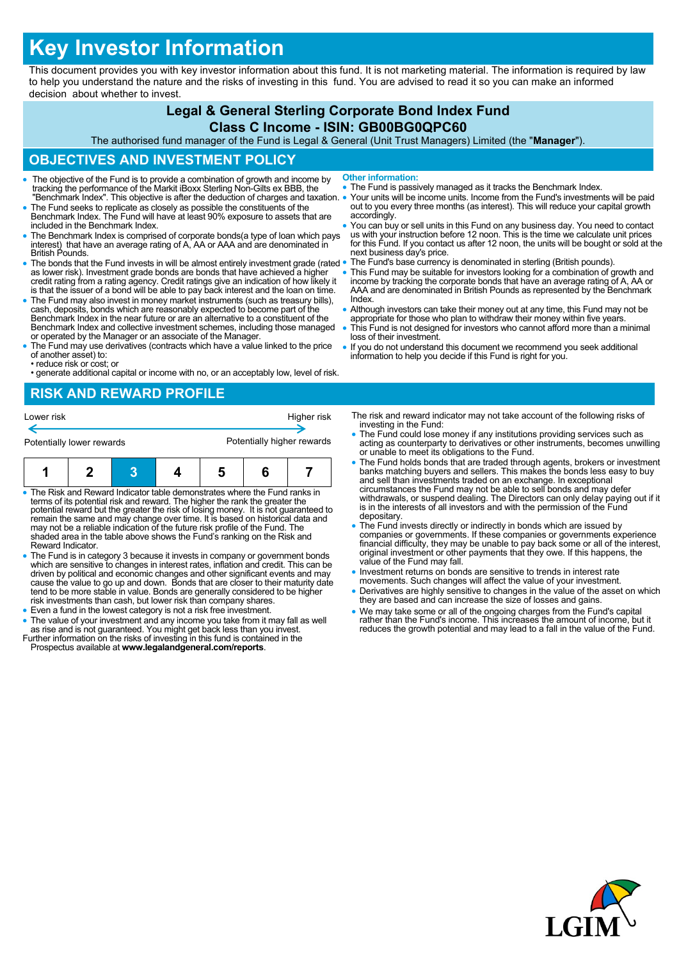# **Key Investor Information**

This document provides you with key investor information about this fund. It is not marketing material. The information is required by law to help you understand the nature and the risks of investing in this fund. You are advised to read it so you can make an informed decision about whether to invest.

## **Legal & General Sterling Corporate Bond Index Fund**

#### **Class C Income - ISIN: GB00BG0QPC60**

The authorised fund manager of the Fund is Legal & General (Unit Trust Managers) Limited (the "**Manager**").

## **OBJECTIVES AND INVESTMENT POLICY**

- The objective of the Fund is to provide a combination of growth and income by tracking the performance of the Markit iBoxx Sterling Non-Gilts ex BBB, the "Benchmark Index". This objective is after the deduction of charges and taxation.
- The Fund seeks to replicate as closely as possible the constituents of the Benchmark Index. The Fund will have at least 90% exposure to assets that are included in the Benchmark Index.
- The Benchmark Index is comprised of corporate bonds(a type of loan which pays interest) that have an average rating of A, AA or AAA and are denominated in British Pounds.
- The bonds that the Fund invests in will be almost entirely investment grade (rated as lower risk). Investment grade bonds are bonds that have achieved a higher credit rating from a rating agency. Credit ratings give an indication of how likely it is that the issuer of a bond will be able to pay back interest and the loan on time.
- The Fund may also invest in money market instruments (such as treasury bills), cash, deposits, bonds which are reasonably expected to become part of the Benchmark Index in the near future or are an alternative to a constituent of the Benchmark Index and collective investment schemes, including those managed or operated by the Manager or an associate of the Manager.
- The Fund may use derivatives (contracts which have a value linked to the price of another asset) to:
- reduce risk or cost; or • generate additional capital or income with no, or an acceptably low, level of risk.
- **RISK AND REWARD PROFILE**

| INSIN/NNP INSIN/NNP I INSI ISS |                           |  |  |             |  |                            |
|--------------------------------|---------------------------|--|--|-------------|--|----------------------------|
| Lower risk                     |                           |  |  | Higher risk |  |                            |
|                                | Potentially lower rewards |  |  |             |  | Potentially higher rewards |
|                                |                           |  |  |             |  |                            |

- The Risk and Reward Indicator table demonstrates where the Fund ranks in terms of its potential risk and reward. The higher the rank the greater the potential reward but the greater the risk of losing money. It is not guaranteed to<br>remain the same and may change over time. It is based on historical data and<br>may not be a reliable indication of the future risk profile of shaded area in the table above shows the Fund's ranking on the Risk and Reward Indicator.
- The Fund is in category 3 because it invests in company or government bonds which are sensitive to changes in interest rates, inflation and credit. This can be<br>driven by political and economic changes and other significant events and may<br>cause the value to go up and down. Bonds that are closer to tend to be more stable in value. Bonds are generally considered to be higher risk investments than cash, but lower risk than company shares.
- Even a fund in the lowest category is not a risk free investment.
- The value of your investment and any income you take from it may fall as well as rise and is not guaranteed. You might get back less than you invest. Further information on the risks of investing in this fund is contained in the Prospectus available at **www.legalandgeneral.com/reports**.
- **Other information:**
- The Fund is passively managed as it tracks the Benchmark Index.
- Your units will be income units. Income from the Fund's investments will be paid out to you every three months (as interest). This will reduce your capital growth accordingly.
- You can buy or sell units in this Fund on any business day. You need to contact us with your instruction before 12 noon. This is the time we calculate unit prices for this Fund. If you contact us after 12 noon, the units will be bought or sold at the next business day's price.
- The Fund's base currency is denominated in sterling (British pounds).
- This Fund may be suitable for investors looking for a combination of growth and income by tracking the corporate bonds that have an average rating of A, AA or AAA and are denominated in British Pounds as represented by the Benchmark Index.
- Although investors can take their money out at any time, this Fund may not be appropriate for those who plan to withdraw their money within five years.
- This Fund is not designed for investors who cannot afford more than a minimal loss of their investment.
- If you do not understand this document we recommend you seek additional information to help you decide if this Fund is right for you.

The risk and reward indicator may not take account of the following risks of investing in the Fund:

- The Fund could lose money if any institutions providing services such as acting as counterparty to derivatives or other instruments, becomes unwilling or unable to meet its obligations to the Fund.
- The Fund holds bonds that are traded through agents, brokers or investment banks matching buyers and sellers. This makes the bonds less easy to buy and sell than investments traded on an exchange. In exceptional circumstances the Fund may not be able to sell bonds and may defer withdrawals, or suspend dealing. The Directors can only delay paying out if it is in the interests of all investors and with the permission of the Fund depositary.
- The Fund invests directly or indirectly in bonds which are issued by companies or governments. If these companies or governments experience financial difficulty, they may be unable to pay back some or all of the interest, original investment or other payments that they owe. If this happens, the value of the Fund may fall.
- Investment returns on bonds are sensitive to trends in interest rate movements. Such changes will affect the value of your investment.
- Derivatives are highly sensitive to changes in the value of the asset on which they are based and can increase the size of losses and gains.
- We may take some or all of the ongoing charges from the Fund's capital rather than the Fund's income. This increases the amount of income, but it reduces the growth potential and may lead to a fall in the value of the Fund.